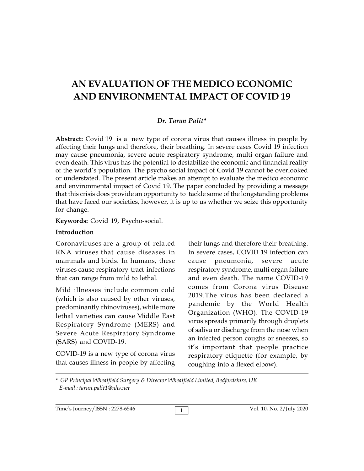# **AN EVALUATION OF THE MEDICO ECONOMIC AND ENVIRONMENTAL IMPACT OF COVID 19**

#### *Dr. Tarun Palit***\***

**Abstract:** Covid 19 is a new type of corona virus that causes illness in people by affecting their lungs and therefore, their breathing. In severe cases Covid 19 infection may cause pneumonia, severe acute respiratory syndrome, multi organ failure and even death. This virus has the potential to destabilize the economic and financial reality of the world's population. The psycho social impact of Covid 19 cannot be overlooked or understated. The present article makes an attempt to evaluate the medico economic and environmental impact of Covid 19. The paper concluded by providing a message that this crisis does provide an opportunity to tackle some of the longstanding problems that have faced our societies, however, it is up to us whether we seize this opportunity for change.

**Keywords:** Covid 19, Psycho-social.

#### **Introduction**

Coronaviruses are a group of related RNA viruses that cause diseases in mammals and birds. In humans, these viruses cause respiratory tract infections that can range from mild to lethal.

Mild illnesses include common cold (which is also caused by other viruses, predominantly rhinoviruses), while more lethal varieties can cause Middle East Respiratory Syndrome (MERS) and Severe Acute Respiratory Syndrome (SARS) and COVID-19.

COVID-19 is a new type of corona virus that causes illness in people by affecting their lungs and therefore their breathing. In severe cases, COVID 19 infection can cause pneumonia, severe acute respiratory syndrome, multi organ failure and even death. The name COVID-19 comes from Corona virus Disease 2019.The virus has been declared a pandemic by the World Health Organization (WHO). The COVID-19 virus spreads primarily through droplets of saliva or discharge from the nose when an infected person coughs or sneezes, so it's important that people practice respiratory etiquette (for example, by coughing into a flexed elbow).

\* *GP Principal Wheatfield Surgery & Director Wheatfield Limited, Bedfordshire, UK E-mail : tarun.palit1@nhs.net*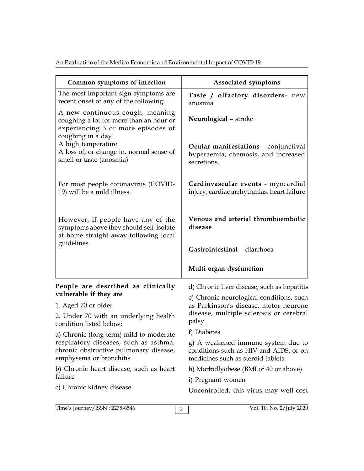An Evaluation of the Medico Economic and Environmental Impact of COVID 19

| Common symptoms of infection                                                                                                          | Associated symptoms                                                                                               |
|---------------------------------------------------------------------------------------------------------------------------------------|-------------------------------------------------------------------------------------------------------------------|
| The most important sign symptoms are<br>recent onset of any of the following:                                                         | Taste / olfactory disorders- new<br>anosmia                                                                       |
| A new continuous cough, meaning<br>coughing a lot for more than an hour or<br>experiencing 3 or more episodes of<br>coughing in a day | Neurological - stroke                                                                                             |
| A high temperature<br>A loss of, or change in, normal sense of<br>smell or taste (anosmia)                                            | Ocular manifestations - conjunctival<br>hyperaemia, chemosis, and increased<br>secretions.                        |
| For most people coronavirus (COVID-<br>19) will be a mild illness.                                                                    | Cardiovascular events - myocardial<br>injury, cardiac arrhythmias, heart failure                                  |
| However, if people have any of the<br>symptoms above they should self-isolate<br>at home straight away following local<br>guidelines. | Venous and arterial thromboembolic<br>disease                                                                     |
|                                                                                                                                       | Gastrointestinal - diarrhoea                                                                                      |
|                                                                                                                                       | Multi organ dysfunction                                                                                           |
| People are described as clinically<br>vulnerable if they are                                                                          | d) Chronic liver disease, such as hepatitis                                                                       |
| 1. Aged 70 or older                                                                                                                   | e) Chronic neurological conditions, such<br>as Parkinson's disease, motor neurone                                 |
| 2. Under 70 with an underlying health<br>condition listed below:                                                                      | disease, multiple sclerosis or cerebral<br>palsy                                                                  |
| a) Chronic (long-term) mild to moderate                                                                                               | f) Diabetes                                                                                                       |
| respiratory diseases, such as asthma,<br>chronic obstructive pulmonary disease,<br>emphysema or bronchitis                            | g) A weakened immune system due to<br>conditions such as HIV and AIDS, or on<br>medicines such as steroid tablets |
| b) Chronic heart disease, such as heart<br>failure                                                                                    | h) Morbidlyobese (BMI of 40 or above)                                                                             |
| c) Chronic kidney disease                                                                                                             | i) Pregnant women                                                                                                 |
|                                                                                                                                       | Uncontrolled, this virus may well cost                                                                            |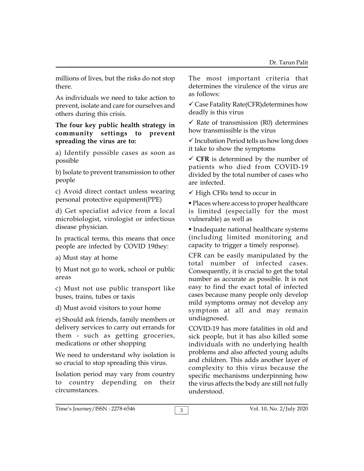millions of lives, but the risks do not stop there.

As individuals we need to take action to prevent, isolate and care for ourselves and others during this crisis.

#### **The four key public health strategy in community settings to prevent spreading the virus are to:**

a) Identify possible cases as soon as possible

b) Isolate to prevent transmission to other people

c) Avoid direct contact unless wearing personal protective equipment(PPE)

d) Get specialist advice from a local microbiologist, virologist or infectious disease physician.

In practical terms, this means that once people are infected by COVID 19they:

a) Must stay at home

b) Must not go to work, school or public areas

c) Must not use public transport like buses, trains, tubes or taxis

d) Must avoid visitors to your home

e) Should ask friends, family members or delivery services to carry out errands for them - such as getting groceries, medications or other shopping

We need to understand why isolation is so crucial to stop spreading this virus.

Isolation period may vary from country to country depending on their circumstances.

The most important criteria that determines the virulence of the virus are as follows:

 $\checkmark$  Case Fatality Rate(CFR) determines how deadly is this virus

 $\checkmark$  Rate of transmission (R0) determines how transmissible is the virus

 $\checkmark$  Incubation Period tells us how long does it take to show the symptoms

 $\checkmark$  CFR is determined by the number of patients who died from COVID-19 divided by the total number of cases who are infected.

 $\checkmark$  High CFRs tend to occur in

 Places where access to proper healthcare is limited (especially for the most vulnerable) as well as

 Inadequate national healthcare systems (including limited monitoring and capacity to trigger a timely response).

CFR can be easily manipulated by the total number of infected cases. Consequently, it is crucial to get the total number as accurate as possible. It is not easy to find the exact total of infected cases because many people only develop mild symptoms ormay not develop any symptom at all and may remain undiagnosed.

COVID-19 has more fatalities in old and sick people, but it has also killed some individuals with no underlying health problems and also affected young adults and children. This adds another layer of complexity to this virus because the specific mechanisms underpinning how the virus affects the body are still not fully understood.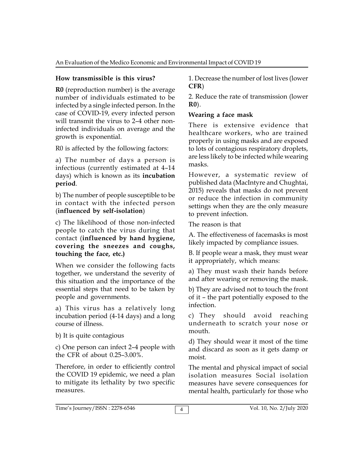## **How transmissible is this virus?**

**R0** (reproduction number) is the average number of individuals estimated to be infected by a single infected person. In the case of COVID-19, every infected person will transmit the virus to 2–4 other noninfected individuals on average and the growth is exponential.

R0 is affected by the following factors:

a) The number of days a person is infectious (currently estimated at 4–14 days) which is known as its **incubation period**.

b) The number of people susceptible to be in contact with the infected person (**influenced by self-isolation**)

c) The likelihood of those non-infected people to catch the virus during that contact (**influenced by hand hygiene, covering the sneezes and coughs, touching the face, etc.)**

When we consider the following facts together, we understand the severity of this situation and the importance of the essential steps that need to be taken by people and governments.

a) This virus has a relatively long incubation period (4-14 days) and a long course of illness.

b) It is quite contagious

c) One person can infect 2–4 people with the CFR of about 0.25–3.00%.

Therefore, in order to efficiently control the COVID 19 epidemic, we need a plan to mitigate its lethality by two specific measures.

1. Decrease the number of lost lives (lower **CFR**)

2. Reduce the rate of transmission (lower **R0**).

## **Wearing a face mask**

There is extensive evidence that healthcare workers, who are trained properly in using masks and are exposed to lots of contagious respiratory droplets, are less likely to be infected while wearing masks.

However, a systematic review of published data (MacIntyre and Chughtai, 2015) reveals that masks do not prevent or reduce the infection in community settings when they are the only measure to prevent infection.

The reason is that

A. The effectiveness of facemasks is most likely impacted by compliance issues.

B. If people wear a mask, they must wear it appropriately, which means:

a) They must wash their hands before and after wearing or removing the mask.

b) They are advised not to touch the front of it – the part potentially exposed to the infection.

c) They should avoid reaching underneath to scratch your nose or mouth.

d) They should wear it most of the time and discard as soon as it gets damp or moist.

The mental and physical impact of social isolation measures Social isolation measures have severe consequences for mental health, particularly for those who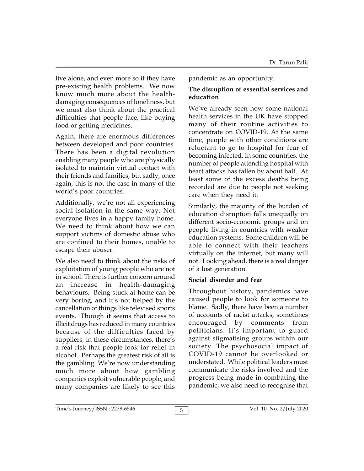live alone, and even more so if they have pre-existing health problems. We now know much more about the healthdamaging consequences of loneliness, but we must also think about the practical difficulties that people face, like buying food or getting medicines.

Again, there are enormous differences between developed and poor countries. There has been a digital revolution enabling many people who are physically isolated to maintain virtual contact with their friends and families, but sadly, once again, this is not the case in many of the world's poor countries.

Additionally, we're not all experiencing social isolation in the same way. Not everyone lives in a happy family home. We need to think about how we can support victims of domestic abuse who are confined to their homes, unable to escape their abuser.

We also need to think about the risks of exploitation of young people who are not in school. There is further concern around an increase in health-damaging behaviours. Being stuck at home can be very boring, and it's not helped by the cancellation of things like televised sports events. Though it seems that access to illicit drugs has reduced in many countries because of the difficulties faced by suppliers, in these circumstances, there's a real risk that people look for relief in alcohol. Perhaps the greatest risk of all is the gambling. We're now understanding much more about how gambling companies exploit vulnerable people, and many companies are likely to see this

pandemic as an opportunity.

## **The disruption of essential services and education**

We've already seen how some national health services in the UK have stopped many of their routine activities to concentrate on COVID-19. At the same time, people with other conditions are reluctant to go to hospital for fear of becoming infected. In some countries, the number of people attending hospital with heart attacks has fallen by about half. At least some of the excess deaths being recorded are due to people not seeking care when they need it.

Similarly, the majority of the burden of education disruption falls unequally on different socio-economic groups and on people living in countries with weaker education systems. Some children will be able to connect with their teachers virtually on the internet, but many will not. Looking ahead, there is a real danger of a lost generation.

## **Social disorder and fear**

Throughout history, pandemics have caused people to look for someone to blame. Sadly, there have been a number of accounts of racist attacks, sometimes encouraged by comments from politicians. It's important to guard against stigmatising groups within our society. The psychosocial impact of COVID-19 cannot be overlooked or understated. While political leaders must communicate the risks involved and the progress being made in combating the pandemic, we also need to recognise that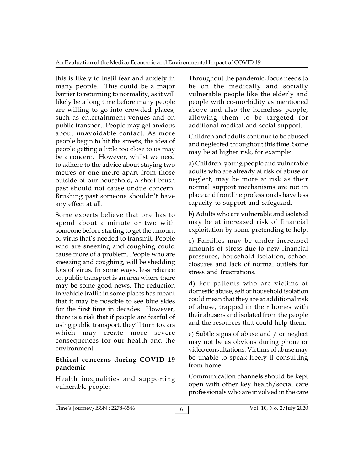this is likely to instil fear and anxiety in many people. This could be a major barrier to returning to normality, as it will likely be a long time before many people are willing to go into crowded places, such as entertainment venues and on public transport. People may get anxious about unavoidable contact. As more people begin to hit the streets, the idea of people getting a little too close to us may be a concern. However, whilst we need to adhere to the advice about staying two metres or one metre apart from those outside of our household, a short brush past should not cause undue concern. Brushing past someone shouldn't have any effect at all.

Some experts believe that one has to spend about a minute or two with someone before starting to get the amount of virus that's needed to transmit. People who are sneezing and coughing could cause more of a problem. People who are sneezing and coughing, will be shedding lots of virus. In some ways, less reliance on public transport is an area where there may be some good news. The reduction in vehicle traffic in some places has meant that it may be possible to see blue skies for the first time in decades. However, there is a risk that if people are fearful of using public transport, they'll turn to cars which may create more severe consequences for our health and the environment.

## **Ethical concerns during COVID 19 pandemic**

Health inequalities and supporting vulnerable people:

Throughout the pandemic, focus needs to be on the medically and socially vulnerable people like the elderly and people with co-morbidity as mentioned above and also the homeless people, allowing them to be targeted for additional medical and social support.

Children and adults continue to be abused and neglected throughout this time. Some may be at higher risk, for example:

a) Children, young people and vulnerable adults who are already at risk of abuse or neglect, may be more at risk as their normal support mechanisms are not in place and frontline professionals have less capacity to support and safeguard.

b) Adults who are vulnerable and isolated may be at increased risk of financial exploitation by some pretending to help.

c) Families may be under increased amounts of stress due to new financial pressures, household isolation, school closures and lack of normal outlets for stress and frustrations.

d) For patients who are victims of domestic abuse, self or household isolation could mean that they are at additional risk of abuse, trapped in their homes with their abusers and isolated from the people and the resources that could help them.

e) Subtle signs of abuse and / or neglect may not be as obvious during phone or video consultations. Victims of abuse may be unable to speak freely if consulting from home.

Communication channels should be kept open with other key health/social care professionals who are involved in the care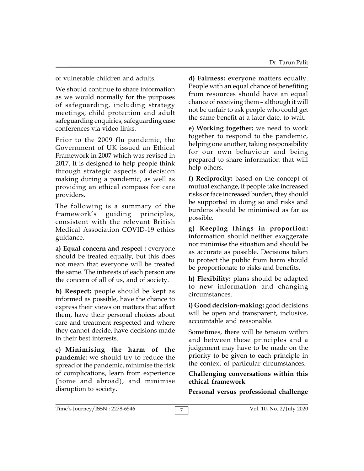of vulnerable children and adults.

We should continue to share information as we would normally for the purposes of safeguarding, including strategy meetings, child protection and adult safeguarding enquiries, safeguarding case conferences via video links.

Prior to the 2009 flu pandemic, the Government of UK issued an Ethical Framework in 2007 which was revised in 2017. It is designed to help people think through strategic aspects of decision making during a pandemic, as well as providing an ethical compass for care providers.

The following is a summary of the framework's guiding principles, consistent with the relevant British Medical Association COVID-19 ethics guidance.

**a) Equal concern and respect :** everyone should be treated equally, but this does not mean that everyone will be treated the same. The interests of each person are the concern of all of us, and of society.

**b) Respect:** people should be kept as informed as possible, have the chance to express their views on matters that affect them, have their personal choices about care and treatment respected and where they cannot decide, have decisions made in their best interests.

**c) Minimising the harm of the pandemic:** we should try to reduce the spread of the pandemic, minimise the risk of complications, learn from experience (home and abroad), and minimise disruption to society.

**d) Fairness:** everyone matters equally. People with an equal chance of benefiting from resources should have an equal chance of receiving them – although it will not be unfair to ask people who could get the same benefit at a later date, to wait.

**e) Working together:** we need to work together to respond to the pandemic, helping one another, taking responsibility for our own behaviour and being prepared to share information that will help others.

**f) Reciprocity:** based on the concept of mutual exchange, if people take increased risks or face increased burden, they should be supported in doing so and risks and burdens should be minimised as far as possible.

**g) Keeping things in proportion:** information should neither exaggerate nor minimise the situation and should be as accurate as possible. Decisions taken to protect the public from harm should be proportionate to risks and benefits.

**h) Flexibility:** plans should be adapted to new information and changing circumstances.

**i) Good decision-making:** good decisions will be open and transparent, inclusive, accountable and reasonable.

Sometimes, there will be tension within and between these principles and a judgement may have to be made on the priority to be given to each principle in the context of particular circumstances.

#### **Challenging conversations within this ethical framework**

**Personal versus professional challenge**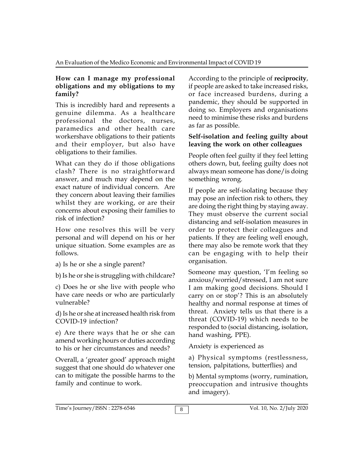#### **How can I manage my professional obligations and my obligations to my family?**

This is incredibly hard and represents a genuine dilemma. As a healthcare professional the doctors, nurses, paramedics and other health care workershave obligations to their patients and their employer, but also have obligations to their families.

What can they do if those obligations clash? There is no straightforward answer, and much may depend on the exact nature of individual concern. Are they concern about leaving their families whilst they are working, or are their concerns about exposing their families to risk of infection?

How one resolves this will be very personal and will depend on his or her unique situation. Some examples are as follows.

a) Is he or she a single parent?

b) Is he or she is struggling with childcare?

c) Does he or she live with people who have care needs or who are particularly vulnerable?

d) Is he or she at increased health risk from COVID-19 infection?

e) Are there ways that he or she can amend working hours or duties according to his or her circumstances and needs?

Overall, a 'greater good' approach might suggest that one should do whatever one can to mitigate the possible harms to the family and continue to work.

According to the principle of **reciprocity**, if people are asked to take increased risks, or face increased burdens, during a pandemic, they should be supported in doing so. Employers and organisations need to minimise these risks and burdens as far as possible.

#### **Self-isolation and feeling guilty about leaving the work on other colleagues**

People often feel guilty if they feel letting others down, but, feeling guilty does not always mean someone has done/is doing something wrong.

If people are self-isolating because they may pose an infection risk to others, they are doing the right thing by staying away. They must observe the current social distancing and self-isolation measures in order to protect their colleagues and patients. If they are feeling well enough, there may also be remote work that they can be engaging with to help their organisation.

Someone may question, 'I'm feeling so anxious/worried/stressed, I am not sure I am making good decisions. Should I carry on or stop'? This is an absolutely healthy and normal response at times of threat. Anxiety tells us that there is a threat (COVID-19) which needs to be responded to (social distancing, isolation, hand washing, PPE).

Anxiety is experienced as

a) Physical symptoms (restlessness, tension, palpitations, butterflies) and

b) Mental symptoms (worry, rumination, preoccupation and intrusive thoughts and imagery).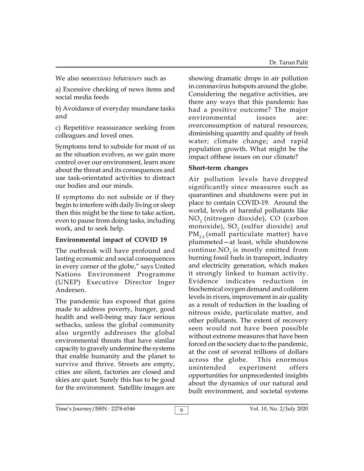We also see*anxious behaviours* such as

a) Excessive checking of news items and social media feeds

b) Avoidance of everyday mundane tasks and

c) Repetitive reassurance seeking from colleagues and loved ones.

Symptoms tend to subside for most of us as the situation evolves, as we gain more control over our environment, learn more about the threat and its consequences and use task-orientated activities to distract our bodies and our minds.

If symptoms do not subside or if they begin to interfere with daily living or sleep then this might be the time to take action, even to pause from doing tasks, including work, and to seek help.

## **Environmental impact of COVID 19**

The outbreak will have profound and lasting economic and social consequences in every corner of the globe," says United Nations Environment Programme (UNEP) Executive Director Inger Andersen.

The pandemic has exposed that gains made to address poverty, hunger, good health and well-being may face serious setbacks, unless the global community also urgently addresses the global environmental threats that have similar capacity to gravely undermine the systems that enable humanity and the planet to survive and thrive. Streets are empty, survive and thrive. Streets are empty,<br>cities are silent, factories are closed and skies are quiet. Surely this has to be good for the environment. Satellite images are

showing dramatic drops in air pollution in coronavirus hotspots around the globe. Considering the negative activities, are there any ways that this pandemic has had a positive outcome? The major environmental issues are: overconsumption of natural resources; diminishing quantity and quality of fresh water; climate change; and rapid population growth. What might be the impact ofthese issues on our climate?

## **Short-term changes**

Air pollution levels have dropped significantly since measures such as quarantines and shutdowns were put in place to contain COVID-19. Around the world, levels of harmful pollutants like NO<sub>2</sub> (nitrogen dioxide), CO (carbon monoxide), SO $_{\textrm{\tiny{2}}}$  (sulfur dioxide) and  $PM_{2.5}$  (small particulate matter) have plummeted—at least, while shutdowns continue. $NO<sub>2</sub>$  is mostly emitted from burning fossil fuels in transport, industry and electricity generation, which makes it strongly linked to human activity. Evidence indicates reduction in biochemical oxygen demand and coliform levels in rivers, improvement in air quality as a result of reduction in the loading of nitrous oxide, particulate matter, and other pollutants. The extent of recovery seen would not have been possible without extreme measures that have been forced on the society due to the pandemic, at the cost of several trillions of dollars across the globe. This enormous experiment offers opportunities for unprecedented insights about the dynamics of our natural and built environment, and societal systems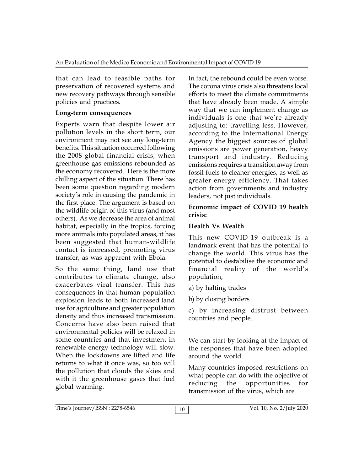that can lead to feasible paths for preservation of recovered systems and new recovery pathways through sensible policies and practices.

### **Long-term consequences**

Experts warn that despite lower air pollution levels in the short term, our environment may not see any long-term benefits. This situation occurred following the 2008 global financial crisis, when greenhouse gas emissions rebounded as the economy recovered. Here is the more chilling aspect of the situation. There has been some question regarding modern society's role in causing the pandemic in the first place. The argument is based on the wildlife origin of this virus (and most others). As we decrease the area of animal habitat, especially in the tropics, forcing more animals into populated areas, it has been suggested that human-wildlife contact is increased, promoting virus transfer, as was apparent with Ebola.

So the same thing, land use that contributes to climate change, also exacerbates viral transfer. This has consequences in that human population explosion leads to both increased land use for agriculture and greater population density and thus increased transmission. Concerns have also been raised that environmental policies will be relaxed in some countries and that investment in renewable energy technology will slow. When the lockdowns are lifted and life returns to what it once was, so too will the pollution that clouds the skies and with it the greenhouse gases that fuel wild people<br>reducing global warming.

In fact, the rebound could be even worse. The corona virus crisis also threatens local efforts to meet the climate commitments that have already been made. A simple way that we can implement change as individuals is one that we're already adjusting to: travelling less. However, according to the International Energy Agency the biggest sources of global emissions are power generation, heavy transport and industry. Reducing emissions requires a transition away from fossil fuels to cleaner energies, as well as greater energy efficiency. That takes action from governments and industry leaders, not just individuals.

#### **Economic impact of COVID 19 health crisis:**

## **Health Vs Wealth**

This new COVID-19 outbreak is a landmark event that has the potential to change the world. This virus has the potential to destabilise the economic and financial reality of the world's population,

a) by halting trades

b) by closing borders

c) by increasing distrust between countries and people.

We can start by looking at the impact of the responses that have been adopted around the world.

Many countries-imposed restrictions on what people can do with the objective of the opportunities for transmission of the virus, which are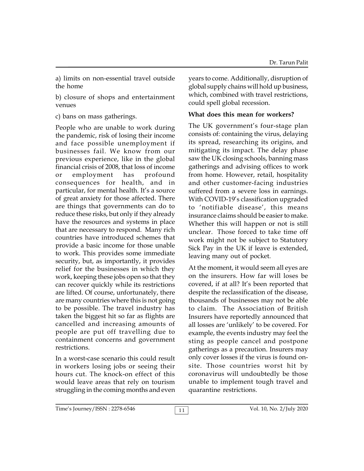a) limits on non-essential travel outside the home

b) closure of shops and entertainment venues

c) bans on mass gatherings.

People who are unable to work during the pandemic, risk of losing their income and face possible unemployment if businesses fail. We know from our previous experience, like in the global financial crisis of 2008, that loss of income or employment has profound consequences for health, and in particular, for mental health. It's a source of great anxiety for those affected. There are things that governments can do to reduce these risks, but only if they already have the resources and systems in place that are necessary to respond. Many rich countries have introduced schemes that provide a basic income for those unable to work. This provides some immediate security, but, as importantly, it provides relief for the businesses in which they work, keeping these jobs open so that they can recover quickly while its restrictions are lifted. Of course, unfortunately, there are many countries where this is not going to be possible. The travel industry has taken the biggest hit so far as flights are cancelled and increasing amounts of people are put off travelling due to containment concerns and government restrictions.

In a worst-case scenario this could result in workers losing jobs or seeing their hours cut. The knock-on effect of this would leave areas that rely on tourism struggling in the coming months and even years to come. Additionally, disruption of global supply chains will hold up business, which, combined with travel restrictions, could spell global recession.

## **What does this mean for workers?**

The UK government's four-stage plan consists of: containing the virus, delaying its spread, researching its origins, and mitigating its impact. The delay phase saw the UK closing schools, banning mass gatherings and advising offices to work from home. However, retail, hospitality and other customer-facing industries suffered from a severe loss in earnings. With COVID-19's classification upgraded to 'notifiable disease', this means insurance claims should be easier to make. Whether this will happen or not is still unclear. Those forced to take time off work might not be subject to Statutory Sick Pay in the UK if leave is extended, leaving many out of pocket.

At the moment, it would seem all eyes are on the insurers. How far will loses be covered, if at all? It's been reported that despite the reclassification of the disease, thousands of businesses may not be able to claim. The Association of British Insurers have reportedly announced that all losses are 'unlikely' to be covered. For example, the events industry may feel the sting as people cancel and postpone gatherings as a precaution. Insurers may only cover losses if the virus is found onsite. Those countries worst hit by coronavirus will undoubtedly be those unable to implement tough travel and quarantine restrictions.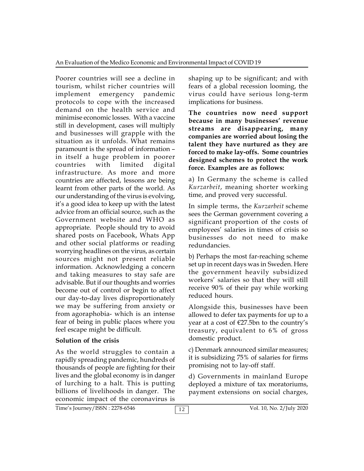Poorer countries will see a decline in tourism, whilst richer countries will implement emergency pandemic protocols to cope with the increased demand on the health service and minimise economic losses. With a vaccine still in development, cases will multiply and businesses will grapple with the situation as it unfolds. What remains paramount is the spread of information – in itself a huge problem in poorer countries with limited digital infrastructure. As more and more countries are affected, lessons are being learnt from other parts of the world. As our understanding of the virus is evolving, it's a good idea to keep up with the latest advice from an official source, such as the Government website and WHO as appropriate. People should try to avoid shared posts on Facebook, Whats App and other social platforms or reading worrying headlines on the virus, as certain sources might not present reliable information. Acknowledging a concern and taking measures to stay safe are advisable. But if our thoughts and worries become out of control or begin to affect our day-to-day lives disproportionately we may be suffering from anxiety or from agoraphobia- which is an intense fear of being in public places where you feel escape might be difficult.

## **Solution of the crisis**

As the world struggles to contain a rapidly spreading pandemic, hundreds of thousands of people are fighting for their lives and the global economy is in danger of lurching to a halt. This is putting billions of livelihoods in danger. The economic impact of the coronavirus is

shaping up to be significant; and with fears of a global recession looming, the virus could have serious long-term implications for business.

**The countries now need support because in many businesses' revenue streams are disappearing, many companies are worried about losing the talent they have nurtured as they are forced to make lay-offs. Some countries designed schemes to protect the work force. Examples are as follows:**

a) In Germany the scheme is called *Kurzarbeit*, meaning shorter working time, and proved very successful.

In simple terms, the *Kurzarbeit* scheme sees the German government covering a significant proportion of the costs of employees' salaries in times of crisis so businesses do not need to make redundancies.

b) Perhaps the most far-reaching scheme set up in recent days was in Sweden. Here the government heavily subsidized workers' salaries so that they will still receive 90% of their pay while working reduced hours.

Alongside this, businesses have been allowed to defer tax payments for up to a year at a cost of  $E27.5$ bn to the country's treasury, equivalent to 6% of gross domestic product.

c) Denmark announced similar measures; it is subsidizing 75% of salaries for firms promising not to lay-off staff.

d) Governments in mainland Europe deployed a mixture of tax moratoriums, payment extensions on social charges,

Time's Journey/ISSN : 2278-6546 12 12 Vol. 10, No. 2/July 2020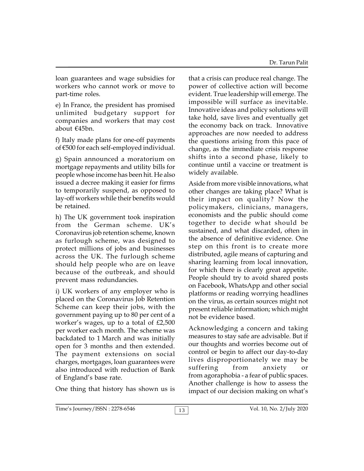loan guarantees and wage subsidies for workers who cannot work or move to part-time roles.

e) In France, the president has promised unlimited budgetary support for companies and workers that may cost about €45bn.

f) Italy made plans for one-off payments of €500 for each self-employed individual.

g) Spain announced a moratorium on mortgage repayments and utility bills for people whose income has been hit. He also issued a decree making it easier for firms to temporarily suspend, as opposed to lay-off workers while their benefits would be retained.

h) The UK government took inspiration from the German scheme. UK's Coronavirus job retention scheme, known as furlough scheme, was designed to protect millions of jobs and businesses across the UK. The furlough scheme should help people who are on leave because of the outbreak, and should prevent mass redundancies.

i) UK workers of any employer who is placed on the Coronavirus Job Retention Scheme can keep their jobs, with the government paying up to 80 per cent of a worker's wages, up to a total of £2,500 per worker each month. The scheme was backdated to 1 March and was initially open for 3 months and then extended. The payment extensions on social charges, mortgages, loan guarantees were also introduced with reduction of Bank of England's base rate.

One thing that history has shown us is

that a crisis can produce real change. The power of collective action will become evident. True leadership will emerge. The impossible will surface as inevitable. Innovative ideas and policy solutions will take hold, save lives and eventually get the economy back on track. Innovative approaches are now needed to address the questions arising from this pace of change, as the immediate crisis response shifts into a second phase, likely to continue until a vaccine or treatment is widely available.

Aside from more visible innovations, what other changes are taking place? What is their impact on quality? Now the policymakers, clinicians, managers, economists and the public should come together to decide what should be sustained, and what discarded, often in the absence of definitive evidence. One step on this front is to create more distributed, agile means of capturing and sharing learning from local innovation, for which there is clearly great appetite. People should try to avoid shared posts on Facebook, WhatsApp and other social platforms or reading worrying headlines on the virus, as certain sources might not present reliable information; which might not be evidence based.

Acknowledging a concern and taking measures to stay safe are advisable. But if our thoughts and worries become out of control or begin to affect our day-to-day lives disproportionately we may be suffering from anxiety or from agoraphobia - a fear of public spaces. Another challenge is how to assess the impact of our decision making on what's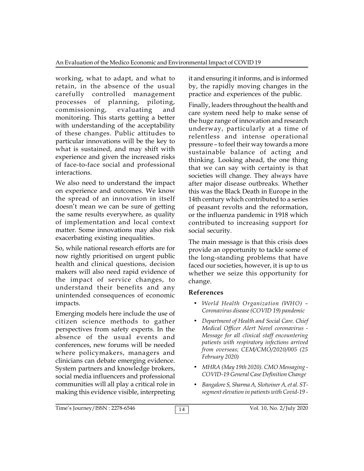working, what to adapt, and what to retain, in the absence of the usual carefully controlled management processes of planning, piloting, commissioning, evaluating and monitoring. This starts getting a better with understanding of the acceptability of these changes. Public attitudes to particular innovations will be the key to what is sustained, and may shift with experience and given the increased risks of face-to-face social and professional interactions.

We also need to understand the impact on experience and outcomes. We know the spread of an innovation in itself doesn't mean we can be sure of getting the same results everywhere, as quality of implementation and local context matter. Some innovations may also risk exacerbating existing inequalities.

So, while national research efforts are for now rightly prioritised on urgent public health and clinical questions, decision makers will also need rapid evidence of the impact of service changes, to understand their benefits and any unintended consequences of economic impacts.

Emerging models here include the use of citizen science methods to gather perspectives from safety experts. In the absence of the usual events and conferences, new forums will be needed where policymakers, managers and clinicians can debate emerging evidence. System partners and knowledge brokers, social media influencers and professional communities will all play a critical role in making this evidence visible, interpreting it and ensuring it informs, and is informed by, the rapidly moving changes in the practice and experiences of the public.

Finally, leaders throughout the health and care system need help to make sense of the huge range of innovation and research underway, particularly at a time of relentless and intense operational pressure – to feel their way towards a more sustainable balance of acting and thinking. Looking ahead, the one thing that we can say with certainty is that societies will change. They always have after major disease outbreaks. Whether this was the Black Death in Europe in the 14th century which contributed to a series of peasant revolts and the reformation, or the influenza pandemic in 1918 which contributed to increasing support for social security.

The main message is that this crisis does provide an opportunity to tackle some of the long-standing problems that have faced our societies, however, it is up to us whether we seize this opportunity for change.

## **References**

- *World Health Organization (WHO) – Coronavirus disease (COVID 19) pandemic*
- *Department of Health and Social Care. Chief Medical Officer Alert Novel coronavirus - Message for all clinical staff encountering patients with respiratory infections arrived from overseas; CEM/CMO/2020/005 (25 February 2020)*
- *MHRA (May 19th 2020). CMO Messaging - COVID-19 General Case Definition Change*
- *Bangalore S, Sharma A, Slotwiner A, et al. STsegment elevation in patients with Covid-19 -*